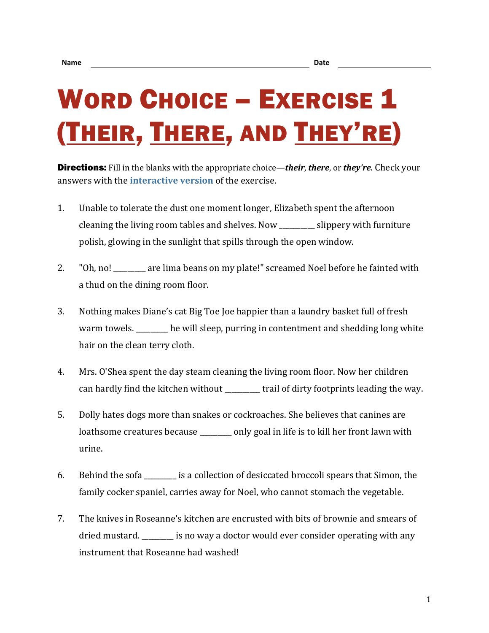## WORD CHOICE – EXERCISE 1 (THEIR, THERE, AND THEY'RE)

Directions: Fill in the blanks with the appropriate choice—*their*, *there*, or *they're*. Check your answers with the **[interactive version](https://chompchomp.com/hotpotatoes/wordchoice01.htm)** of the exercise.

- 1. Unable to tolerate the dust one moment longer, Elizabeth spent the afternoon cleaning the living room tables and shelves. Now \_\_\_\_\_\_\_\_\_\_ slippery with furniture polish, glowing in the sunlight that spills through the open window.
- 2. "Oh, no! \_\_\_\_\_\_\_\_ are lima beans on my plate!" screamed Noel before he fainted with a thud on the dining room floor.
- 3. Nothing makes Diane's cat Big Toe Joe happier than a laundry basket full of fresh warm towels. he will sleep, purring in contentment and shedding long white hair on the clean terry cloth.
- 4. Mrs. O'Shea spent the day steam cleaning the living room floor. Now her children can hardly find the kitchen without \_\_\_\_\_\_\_\_\_\_ trail of dirty footprints leading the way.
- 5. Dolly hates dogs more than snakes or cockroaches. She believes that canines are loathsome creatures because \_\_\_\_\_\_\_\_ only goal in life is to kill her front lawn with urine.
- 6. Behind the sofa \_\_\_\_\_\_\_\_\_ is a collection of desiccated broccoli spears that Simon, the family cocker spaniel, carries away for Noel, who cannot stomach the vegetable.
- 7. The knives in Roseanne's kitchen are encrusted with bits of brownie and smears of dried mustard. \_\_\_\_\_\_\_\_\_ is no way a doctor would ever consider operating with any instrument that Roseanne had washed!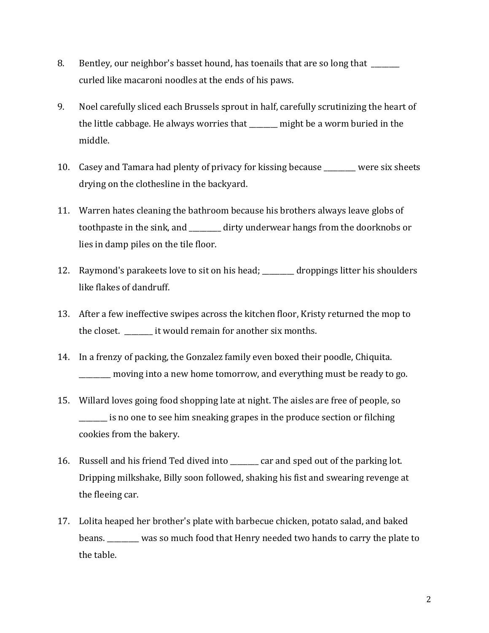- 8. Bentley, our neighbor's basset hound, has toenails that are so long that curled like macaroni noodles at the ends of his paws.
- 9. Noel carefully sliced each Brussels sprout in half, carefully scrutinizing the heart of the little cabbage. He always worries that \_\_\_\_\_\_\_\_ might be a worm buried in the middle.
- 10. Casey and Tamara had plenty of privacy for kissing because were six sheets drying on the clothesline in the backyard.
- 11. Warren hates cleaning the bathroom because his brothers always leave globs of toothpaste in the sink, and \_\_\_\_\_\_\_\_\_ dirty underwear hangs from the doorknobs or lies in damp piles on the tile floor.
- 12. Raymond's parakeets love to sit on his head; \_\_\_\_\_\_\_ droppings litter his shoulders like flakes of dandruff.
- 13. After a few ineffective swipes across the kitchen floor, Kristy returned the mop to the closet. \_\_\_\_\_\_\_ it would remain for another six months.
- 14. In a frenzy of packing, the Gonzalez family even boxed their poodle, Chiquita. \_\_\_\_\_\_\_\_\_ moving into a new home tomorrow, and everything must be ready to go.
- 15. Willard loves going food shopping late at night. The aisles are free of people, so  $\_$  is no one to see him sneaking grapes in the produce section or filching cookies from the bakery.
- 16. Russell and his friend Ted dived into \_\_\_\_\_\_\_\_ car and sped out of the parking lot. Dripping milkshake, Billy soon followed, shaking his fist and swearing revenge at the fleeing car.
- 17. Lolita heaped her brother's plate with barbecue chicken, potato salad, and baked beans. \_\_\_\_\_\_\_\_\_ was so much food that Henry needed two hands to carry the plate to the table.